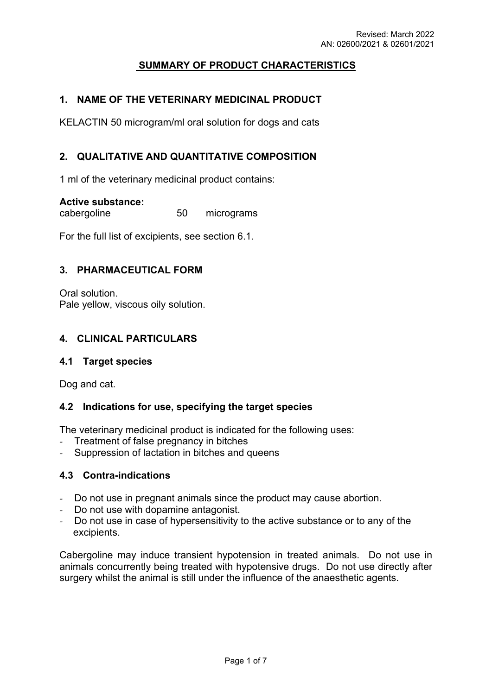# **SUMMARY OF PRODUCT CHARACTERISTICS**

# **1. NAME OF THE VETERINARY MEDICINAL PRODUCT**

KELACTIN 50 microgram/ml oral solution for dogs and cats

## **2. QUALITATIVE AND QUANTITATIVE COMPOSITION**

1 ml of the veterinary medicinal product contains:

#### **Active substance:**

cabergoline 50 micrograms

For the full list of excipients, see section 6.1.

#### **3. PHARMACEUTICAL FORM**

Oral solution. Pale yellow, viscous oily solution.

#### **4. CLINICAL PARTICULARS**

#### **4.1 Target species**

Dog and cat.

#### **4.2 Indications for use, specifying the target species**

The veterinary medicinal product is indicated for the following uses:

- *-* Treatment of false pregnancy in bitches
- Suppression of lactation in bitches and queens

#### **4.3 Contra-indications**

- *-* Do not use in pregnant animals since the product may cause abortion.
- *-* Do not use with dopamine antagonist.
- *-* Do not use in case of hypersensitivity to the active substance or to any of the excipients.

Cabergoline may induce transient hypotension in treated animals. Do not use in animals concurrently being treated with hypotensive drugs. Do not use directly after surgery whilst the animal is still under the influence of the anaesthetic agents.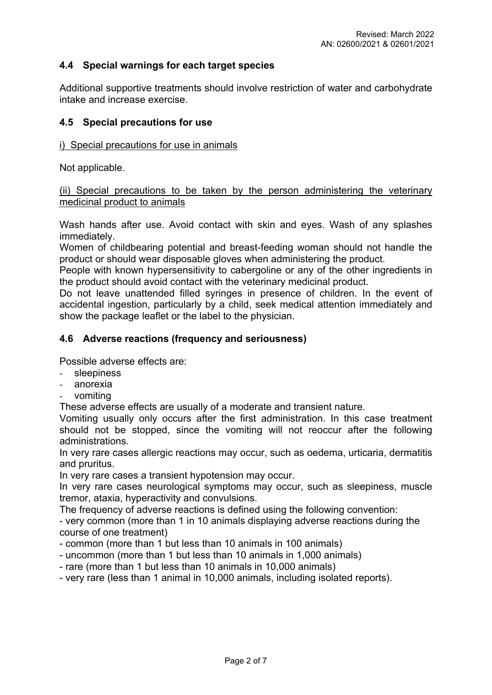# **4.4 Special warnings for each target species**

Additional supportive treatments should involve restriction of water and carbohydrate intake and increase exercise.

#### **4.5 Special precautions for use**

#### i) Special precautions for use in animals

Not applicable.

#### (ii) Special precautions to be taken by the person administering the veterinary medicinal product to animals

Wash hands after use. Avoid contact with skin and eyes. Wash of any splashes immediately.

Women of childbearing potential and breast-feeding woman should not handle the product or should wear disposable gloves when administering the product.

People with known hypersensitivity to cabergoline or any of the other ingredients in the product should avoid contact with the veterinary medicinal product.

Do not leave unattended filled syringes in presence of children. In the event of accidental ingestion, particularly by a child, seek medical attention immediately and show the package leaflet or the label to the physician.

## **4.6 Adverse reactions (frequency and seriousness)**

Possible adverse effects are:

- *-* sleepiness
- *-* anorexia
- *-* vomiting

These adverse effects are usually of a moderate and transient nature.

Vomiting usually only occurs after the first administration. In this case treatment should not be stopped, since the vomiting will not reoccur after the following administrations.

In very rare cases allergic reactions may occur, such as oedema, urticaria, dermatitis and pruritus.

In very rare cases a transient hypotension may occur.

In very rare cases neurological symptoms may occur, such as sleepiness, muscle tremor, ataxia, hyperactivity and convulsions.

The frequency of adverse reactions is defined using the following convention:

- very common (more than 1 in 10 animals displaying adverse reactions during the course of one treatment)

- common (more than 1 but less than 10 animals in 100 animals)
- uncommon (more than 1 but less than 10 animals in 1,000 animals)
- rare (more than 1 but less than 10 animals in 10,000 animals)

- very rare (less than 1 animal in 10,000 animals, including isolated reports).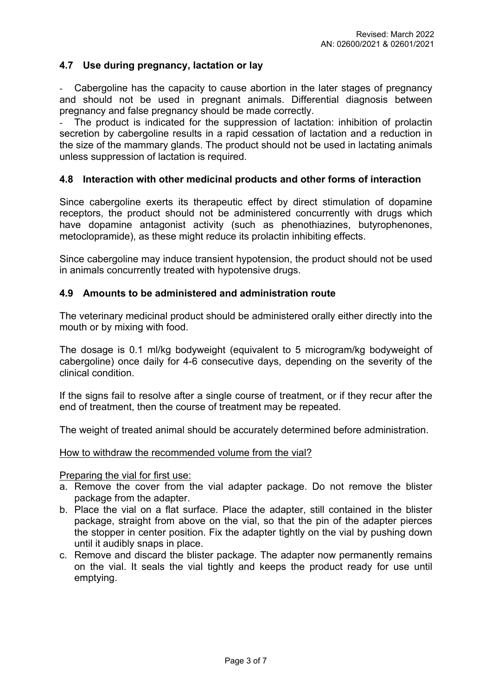# **4.7 Use during pregnancy, lactation or lay**

*-* Cabergoline has the capacity to cause abortion in the later stages of pregnancy and should not be used in pregnant animals. Differential diagnosis between pregnancy and false pregnancy should be made correctly.

The product is indicated for the suppression of lactation: inhibition of prolactin secretion by cabergoline results in a rapid cessation of lactation and a reduction in the size of the mammary glands. The product should not be used in lactating animals unless suppression of lactation is required.

## **4.8 Interaction with other medicinal products and other forms of interaction**

Since cabergoline exerts its therapeutic effect by direct stimulation of dopamine receptors, the product should not be administered concurrently with drugs which have dopamine antagonist activity (such as phenothiazines, butyrophenones, metoclopramide), as these might reduce its prolactin inhibiting effects.

Since cabergoline may induce transient hypotension, the product should not be used in animals concurrently treated with hypotensive drugs.

## **4.9 Amounts to be administered and administration route**

The veterinary medicinal product should be administered orally either directly into the mouth or by mixing with food.

The dosage is 0.1 ml/kg bodyweight (equivalent to 5 microgram/kg bodyweight of cabergoline) once daily for 4-6 consecutive days, depending on the severity of the clinical condition.

If the signs fail to resolve after a single course of treatment, or if they recur after the end of treatment, then the course of treatment may be repeated.

The weight of treated animal should be accurately determined before administration.

#### How to withdraw the recommended volume from the vial?

Preparing the vial for first use:

- a. Remove the cover from the vial adapter package. Do not remove the blister package from the adapter.
- b. Place the vial on a flat surface. Place the adapter, still contained in the blister package, straight from above on the vial, so that the pin of the adapter pierces the stopper in center position. Fix the adapter tightly on the vial by pushing down until it audibly snaps in place.
- c. Remove and discard the blister package. The adapter now permanently remains on the vial. It seals the vial tightly and keeps the product ready for use until emptying.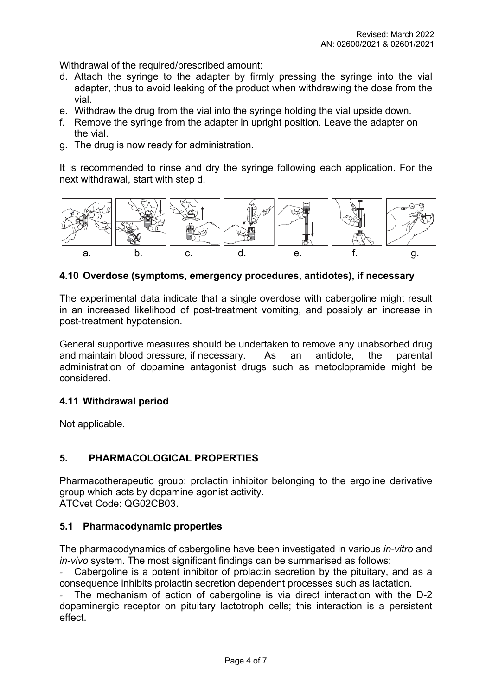Withdrawal of the required/prescribed amount:

- d. Attach the syringe to the adapter by firmly pressing the syringe into the vial adapter, thus to avoid leaking of the product when withdrawing the dose from the vial.
- e. Withdraw the drug from the vial into the syringe holding the vial upside down.
- f. Remove the syringe from the adapter in upright position. Leave the adapter on the vial.
- g. The drug is now ready for administration.

It is recommended to rinse and dry the syringe following each application. For the next withdrawal, start with step d.



#### **4.10 Overdose (symptoms, emergency procedures, antidotes), if necessary**

The experimental data indicate that a single overdose with cabergoline might result in an increased likelihood of post-treatment vomiting, and possibly an increase in post-treatment hypotension.

General supportive measures should be undertaken to remove any unabsorbed drug and maintain blood pressure, if necessary. As an antidote, the parental administration of dopamine antagonist drugs such as metoclopramide might be considered.

## **4.11 Withdrawal period**

Not applicable.

## **5. PHARMACOLOGICAL PROPERTIES**

Pharmacotherapeutic group: prolactin inhibitor belonging to the ergoline derivative group which acts by dopamine agonist activity. ATCvet Code: QG02CB03.

#### **5.1 Pharmacodynamic properties**

The pharmacodynamics of cabergoline have been investigated in various *in-vitro* and *in-vivo* system. The most significant findings can be summarised as follows:

*-* Cabergoline is a potent inhibitor of prolactin secretion by the pituitary, and as a consequence inhibits prolactin secretion dependent processes such as lactation.

*-* The mechanism of action of cabergoline is via direct interaction with the D-2 dopaminergic receptor on pituitary lactotroph cells; this interaction is a persistent effect.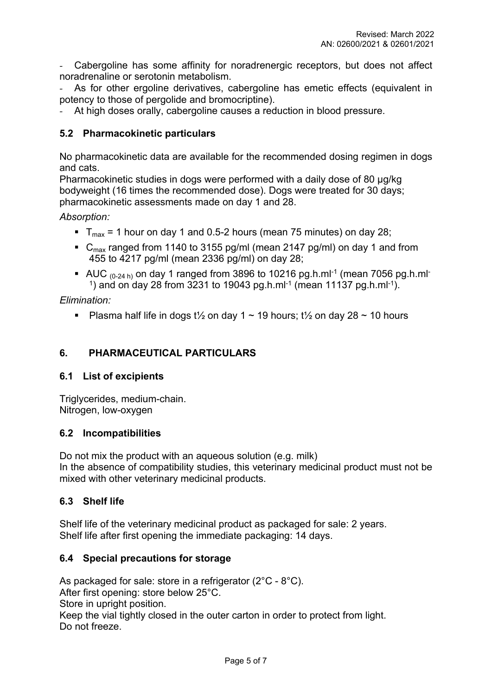*-* Cabergoline has some affinity for noradrenergic receptors, but does not affect noradrenaline or serotonin metabolism.

*-* As for other ergoline derivatives, cabergoline has emetic effects (equivalent in potency to those of pergolide and bromocriptine).

*-* At high doses orally, cabergoline causes a reduction in blood pressure.

# **5.2 Pharmacokinetic particulars**

No pharmacokinetic data are available for the recommended dosing regimen in dogs and cats.

Pharmacokinetic studies in dogs were performed with a daily dose of 80 µg/kg bodyweight (16 times the recommended dose). Dogs were treated for 30 days; pharmacokinetic assessments made on day 1 and 28.

*Absorption:* 

- $\blacksquare$  T<sub>max</sub> = 1 hour on day 1 and 0.5-2 hours (mean 75 minutes) on day 28;
- $C_{\text{max}}$  ranged from 1140 to 3155 pg/ml (mean 2147 pg/ml) on day 1 and from 455 to 4217 pg/ml (mean 2336 pg/ml) on day 28;
- AUC  $_{(0-24 \text{ h})}$  on day 1 ranged from 3896 to 10216 pg.h.ml<sup>-1</sup> (mean 7056 pg.h.ml<sup>-1</sup> <sup>1</sup>) and on day 28 from 3231 to 19043 pg.h.ml<sup>-1</sup> (mean 11137 pg.h.ml<sup>-1</sup>).

*Elimination:*

**•** Plasma half life in dogs t<sup>1</sup>/<sub>2</sub> on day 1  $\sim$  19 hours; t<sup>1</sup>/<sub>2</sub> on day 28  $\sim$  10 hours

# **6. PHARMACEUTICAL PARTICULARS**

## **6.1 List of excipients**

Triglycerides, medium-chain. Nitrogen, low-oxygen

## **6.2 Incompatibilities**

Do not mix the product with an aqueous solution (e.g. milk) In the absence of compatibility studies, this veterinary medicinal product must not be mixed with other veterinary medicinal products.

## **6.3 Shelf life**

Shelf life of the veterinary medicinal product as packaged for sale: 2 years. Shelf life after first opening the immediate packaging: 14 days.

## **6.4 Special precautions for storage**

As packaged for sale: store in a refrigerator (2°C - 8°C). After first opening: store below 25°C. Store in upright position. Keep the vial tightly closed in the outer carton in order to protect from light. Do not freeze.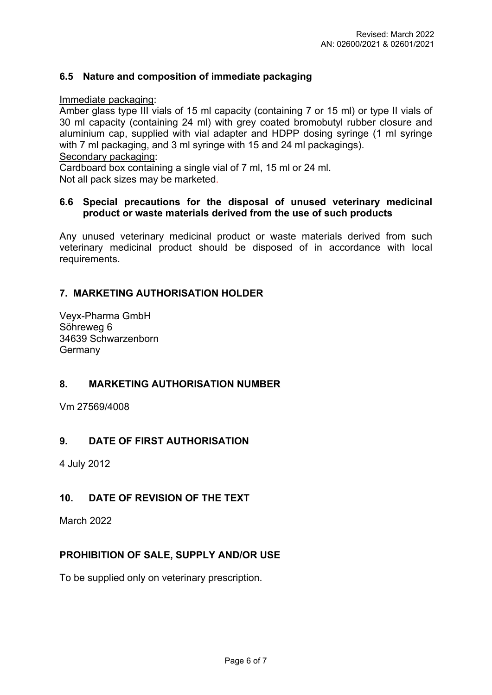# **6.5 Nature and composition of immediate packaging**

Immediate packaging:

Amber glass type III vials of 15 ml capacity (containing 7 or 15 ml) or type II vials of 30 ml capacity (containing 24 ml) with grey coated bromobutyl rubber closure and aluminium cap, supplied with vial adapter and HDPP dosing syringe (1 ml syringe with 7 ml packaging, and 3 ml syringe with 15 and 24 ml packagings). Secondary packaging:

Cardboard box containing a single vial of 7 ml, 15 ml or 24 ml.

Not all pack sizes may be marketed.

#### **6.6 Special precautions for the disposal of unused veterinary medicinal product or waste materials derived from the use of such products**

Any unused veterinary medicinal product or waste materials derived from such veterinary medicinal product should be disposed of in accordance with local requirements.

# **7. MARKETING AUTHORISATION HOLDER**

Veyx-Pharma GmbH Söhreweg 6 34639 Schwarzenborn **Germany** 

## **8. MARKETING AUTHORISATION NUMBER**

Vm 27569/4008

## **9. DATE OF FIRST AUTHORISATION**

4 July 2012

# **10. DATE OF REVISION OF THE TEXT**

March 2022

## **PROHIBITION OF SALE, SUPPLY AND/OR USE**

To be supplied only on veterinary prescription.